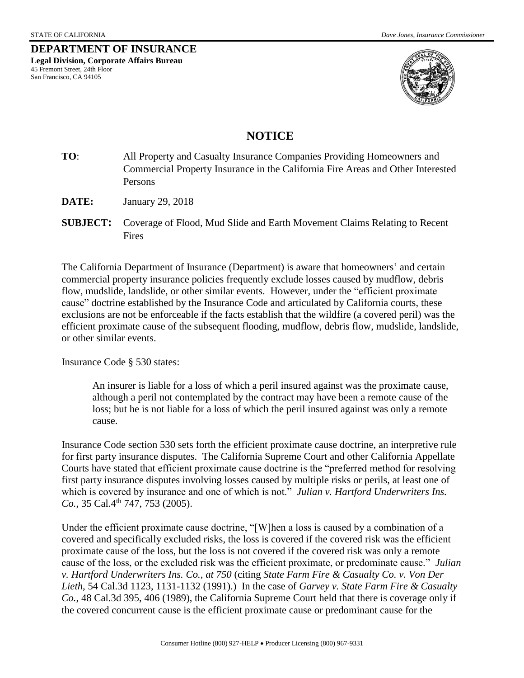**DEPARTMENT OF INSURANCE Legal Division, Corporate Affairs Bureau**  45 Fremont Street, 24th Floor San Francisco, CA 94105



## **NOTICE**

- **TO**: All Property and Casualty Insurance Companies Providing Homeowners and Commercial Property Insurance in the California Fire Areas and Other Interested Persons
- **DATE:** January 29, 2018
- **SUBJECT:** Coverage of Flood, Mud Slide and Earth Movement Claims Relating to Recent Fires

The California Department of Insurance (Department) is aware that homeowners' and certain commercial property insurance policies frequently exclude losses caused by mudflow, debris flow, mudslide, landslide, or other similar events. However, under the "efficient proximate cause" doctrine established by the Insurance Code and articulated by California courts, these exclusions are not be enforceable if the facts establish that the wildfire (a covered peril) was the efficient proximate cause of the subsequent flooding, mudflow, debris flow, mudslide, landslide, or other similar events.

Insurance Code § 530 states:

An insurer is liable for a loss of which a peril insured against was the proximate cause, although a peril not contemplated by the contract may have been a remote cause of the loss; but he is not liable for a loss of which the peril insured against was only a remote cause.

Insurance Code section 530 sets forth the efficient proximate cause doctrine, an interpretive rule for first party insurance disputes. The California Supreme Court and other California Appellate Courts have stated that efficient proximate cause doctrine is the "preferred method for resolving first party insurance disputes involving losses caused by multiple risks or perils, at least one of which is covered by insurance and one of which is not." *Julian v. Hartford Underwriters Ins. Co.*, 35 Cal.4<sup>th</sup> 747, 753 (2005).

Under the efficient proximate cause doctrine, "[W]hen a loss is caused by a combination of a covered and specifically excluded risks, the loss is covered if the covered risk was the efficient proximate cause of the loss, but the loss is not covered if the covered risk was only a remote cause of the loss, or the excluded risk was the efficient proximate, or predominate cause." *Julian v. Hartford Underwriters Ins. Co.*, *at 750* (citing *State Farm Fire & Casualty Co. v. Von Der Lieth*, 54 Cal.3d 1123, 1131-1132 (1991).) In the case of *Garvey v. State Farm Fire & Casualty Co.*, 48 Cal.3d 395, 406 (1989), the California Supreme Court held that there is coverage only if the covered concurrent cause is the efficient proximate cause or predominant cause for the